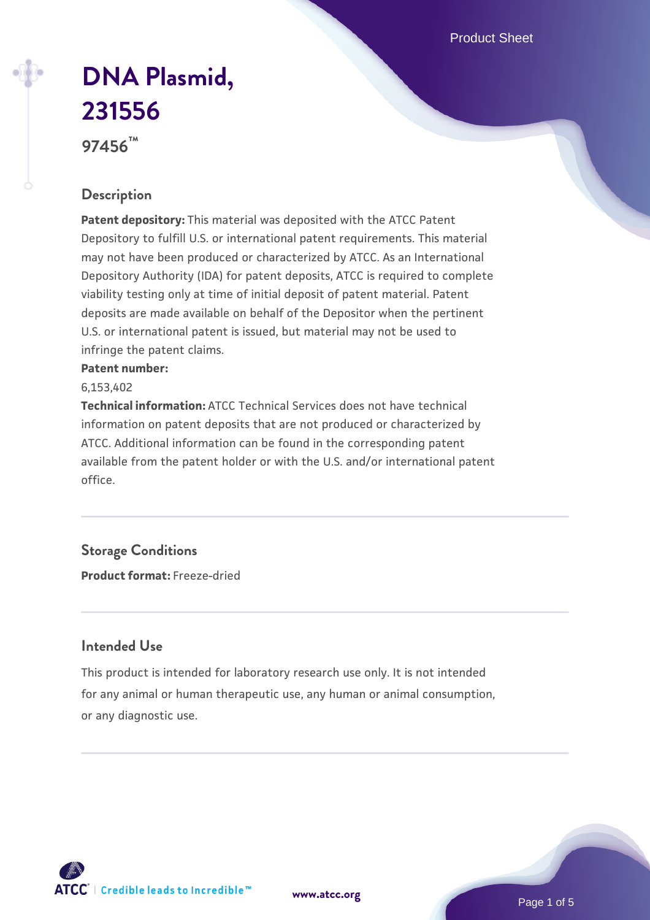Product Sheet

# **[DNA Plasmid,](https://www.atcc.org/products/97456) [231556](https://www.atcc.org/products/97456)**

**97456™**

## **Description**

**Patent depository:** This material was deposited with the ATCC Patent Depository to fulfill U.S. or international patent requirements. This material may not have been produced or characterized by ATCC. As an International Depository Authority (IDA) for patent deposits, ATCC is required to complete viability testing only at time of initial deposit of patent material. Patent deposits are made available on behalf of the Depositor when the pertinent U.S. or international patent is issued, but material may not be used to infringe the patent claims.

#### **Patent number:**

6,153,402

**Technical information:** ATCC Technical Services does not have technical information on patent deposits that are not produced or characterized by ATCC. Additional information can be found in the corresponding patent available from the patent holder or with the U.S. and/or international patent office.

# **Storage Conditions**

**Product format:** Freeze-dried

#### **Intended Use**

This product is intended for laboratory research use only. It is not intended for any animal or human therapeutic use, any human or animal consumption, or any diagnostic use.

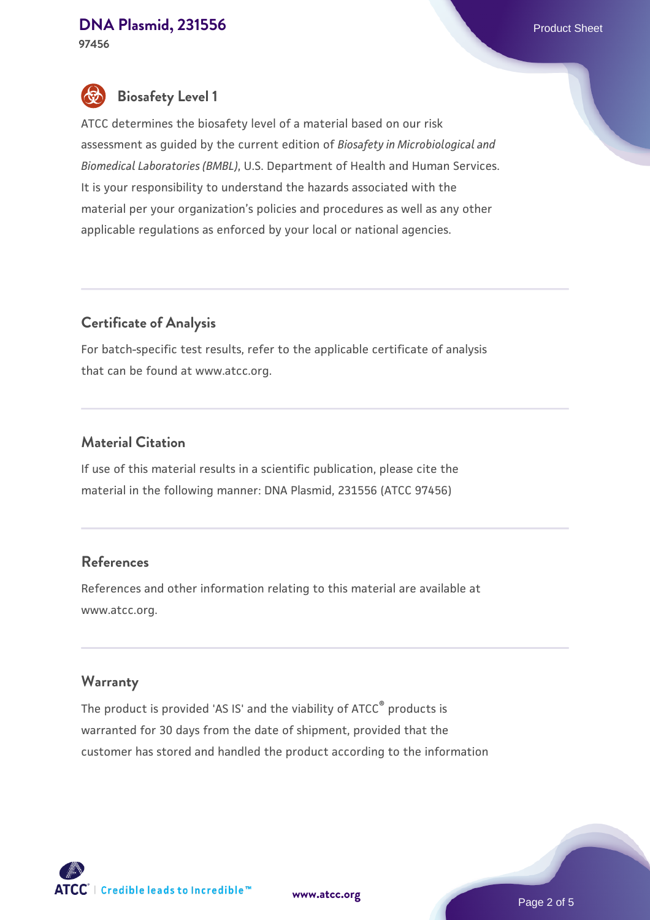#### **[DNA Plasmid, 231556](https://www.atcc.org/products/97456)** Product Sheet **97456**

# **Biosafety Level 1**

ATCC determines the biosafety level of a material based on our risk assessment as guided by the current edition of *Biosafety in Microbiological and Biomedical Laboratories (BMBL)*, U.S. Department of Health and Human Services. It is your responsibility to understand the hazards associated with the material per your organization's policies and procedures as well as any other applicable regulations as enforced by your local or national agencies.

## **Certificate of Analysis**

For batch-specific test results, refer to the applicable certificate of analysis that can be found at www.atcc.org.

## **Material Citation**

If use of this material results in a scientific publication, please cite the material in the following manner: DNA Plasmid, 231556 (ATCC 97456)

#### **References**

References and other information relating to this material are available at www.atcc.org.

#### **Warranty**

The product is provided 'AS IS' and the viability of ATCC<sup>®</sup> products is warranted for 30 days from the date of shipment, provided that the customer has stored and handled the product according to the information

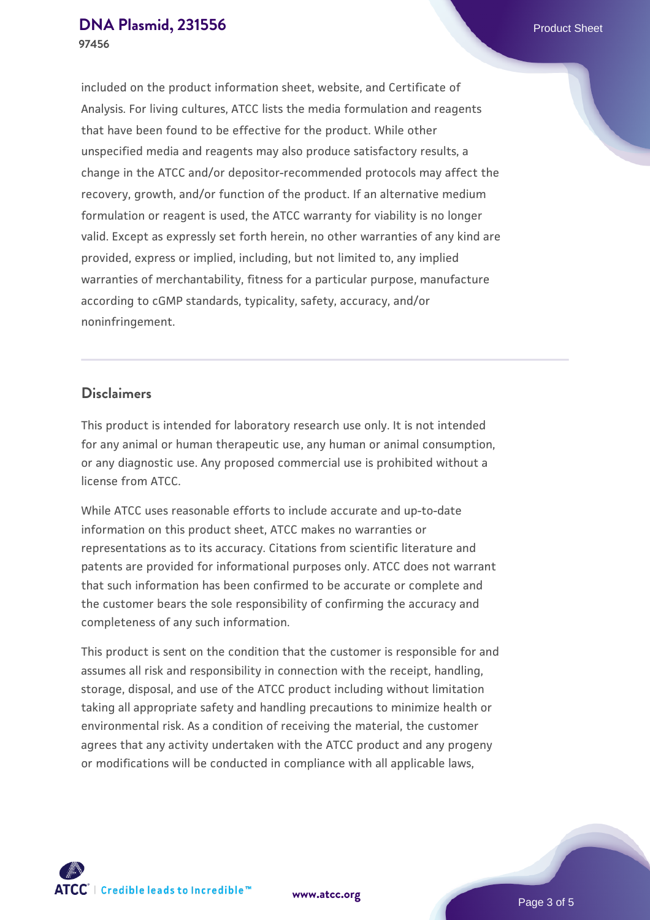included on the product information sheet, website, and Certificate of Analysis. For living cultures, ATCC lists the media formulation and reagents that have been found to be effective for the product. While other unspecified media and reagents may also produce satisfactory results, a change in the ATCC and/or depositor-recommended protocols may affect the recovery, growth, and/or function of the product. If an alternative medium formulation or reagent is used, the ATCC warranty for viability is no longer valid. Except as expressly set forth herein, no other warranties of any kind are provided, express or implied, including, but not limited to, any implied warranties of merchantability, fitness for a particular purpose, manufacture according to cGMP standards, typicality, safety, accuracy, and/or noninfringement.

#### **Disclaimers**

This product is intended for laboratory research use only. It is not intended for any animal or human therapeutic use, any human or animal consumption, or any diagnostic use. Any proposed commercial use is prohibited without a license from ATCC.

While ATCC uses reasonable efforts to include accurate and up-to-date information on this product sheet, ATCC makes no warranties or representations as to its accuracy. Citations from scientific literature and patents are provided for informational purposes only. ATCC does not warrant that such information has been confirmed to be accurate or complete and the customer bears the sole responsibility of confirming the accuracy and completeness of any such information.

This product is sent on the condition that the customer is responsible for and assumes all risk and responsibility in connection with the receipt, handling, storage, disposal, and use of the ATCC product including without limitation taking all appropriate safety and handling precautions to minimize health or environmental risk. As a condition of receiving the material, the customer agrees that any activity undertaken with the ATCC product and any progeny or modifications will be conducted in compliance with all applicable laws,



**[www.atcc.org](http://www.atcc.org)**

Page 3 of 5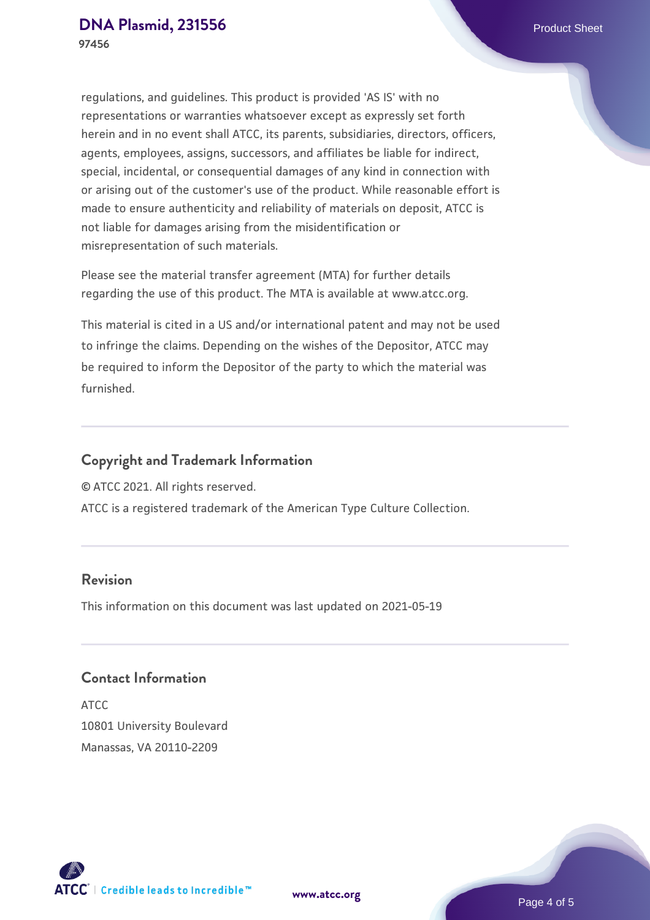regulations, and guidelines. This product is provided 'AS IS' with no representations or warranties whatsoever except as expressly set forth herein and in no event shall ATCC, its parents, subsidiaries, directors, officers, agents, employees, assigns, successors, and affiliates be liable for indirect, special, incidental, or consequential damages of any kind in connection with or arising out of the customer's use of the product. While reasonable effort is made to ensure authenticity and reliability of materials on deposit, ATCC is not liable for damages arising from the misidentification or misrepresentation of such materials.

Please see the material transfer agreement (MTA) for further details regarding the use of this product. The MTA is available at www.atcc.org.

This material is cited in a US and/or international patent and may not be used to infringe the claims. Depending on the wishes of the Depositor, ATCC may be required to inform the Depositor of the party to which the material was furnished.

## **Copyright and Trademark Information**

© ATCC 2021. All rights reserved.

ATCC is a registered trademark of the American Type Culture Collection.

#### **Revision**

This information on this document was last updated on 2021-05-19

### **Contact Information**

ATCC 10801 University Boulevard Manassas, VA 20110-2209